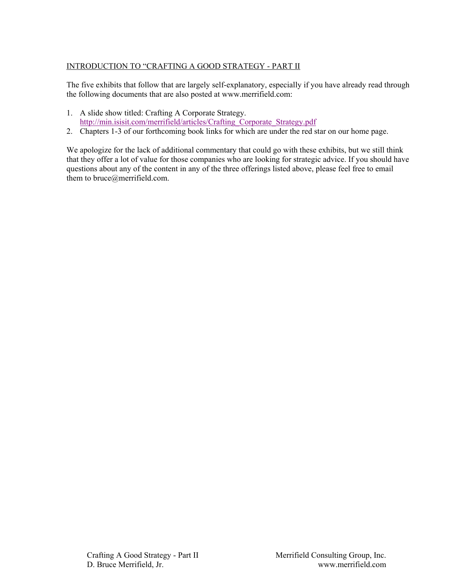# INTRODUCTION TO "CRAFTING A GOOD STRATEGY - PART II

The five exhibits that follow that are largely self-explanatory, especially if you have already read through the following documents that are also posted at www.merrifield.com:

- 1. A slide show titled: Crafting A Corporate Strategy. http://min.isisit.com/merrifield/articles/Crafting\_Corporate\_Strategy.pdf
- 2. Chapters 1-3 of our forthcoming book links for which are under the red star on our home page.

We apologize for the lack of additional commentary that could go with these exhibits, but we still think that they offer a lot of value for those companies who are looking for strategic advice. If you should have questions about any of the content in any of the three offerings listed above, please feel free to email them to bruce@merrifield.com.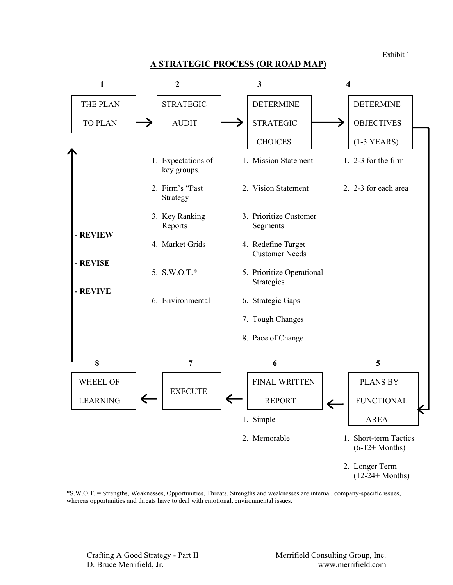Exhibit 1

#### **A STRATEGIC PROCESS (OR ROAD MAP)**



\*S.W.O.T. = Strengths, Weaknesses, Opportunities, Threats. Strengths and weaknesses are internal, company-specific issues, whereas opportunities and threats have to deal with emotional, environmental issues.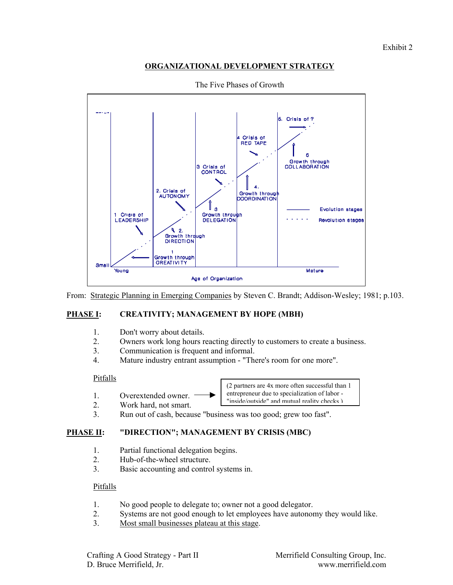## **ORGANIZATIONAL DEVELOPMENT STRATEGY**



The Five Phases of Growth

From: Strategic Planning in Emerging Companies by Steven C. Brandt; Addison-Wesley; 1981; p.103.

## **PHASE I: CREATIVITY; MANAGEMENT BY HOPE (MBH)**

- 1. Don't worry about details.
- 2. Owners work long hours reacting directly to customers to create a business.
- 3. Communication is frequent and informal.
- 4. Mature industry entrant assumption "There's room for one more".

### Pitfalls

- 1. Overextended owner.
- 2. Work hard, not smart.



3. Run out of cash, because "business was too good; grew too fast".

# **PHASE II: "DIRECTION"; MANAGEMENT BY CRISIS (MBC)**

- 1. Partial functional delegation begins.
- 2. Hub-of-the-wheel structure.
- 3. Basic accounting and control systems in.

### Pitfalls

- 1. No good people to delegate to; owner not a good delegator.
- 2. Systems are not good enough to let employees have autonomy they would like.
- 3. Most small businesses plateau at this stage.

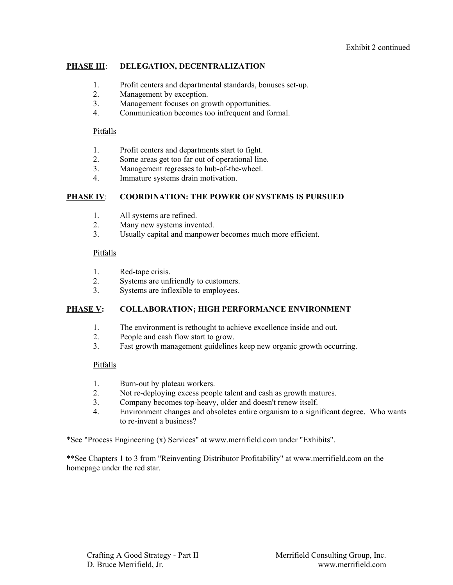## **PHASE III**: **DELEGATION, DECENTRALIZATION**

- 1. Profit centers and departmental standards, bonuses set-up.
- 2. Management by exception.
- 3. Management focuses on growth opportunities.
- 4. Communication becomes too infrequent and formal.

### Pitfalls

- 1. Profit centers and departments start to fight.
- 2. Some areas get too far out of operational line.
- 3. Management regresses to hub-of-the-wheel.
- 4. Immature systems drain motivation.

## **PHASE IV**: **COORDINATION: THE POWER OF SYSTEMS IS PURSUED**

- 1. All systems are refined.
- 2. Many new systems invented.
- 3. Usually capital and manpower becomes much more efficient.

### Pitfalls

- 1. Red-tape crisis.
- 2. Systems are unfriendly to customers.
- 3. Systems are inflexible to employees.

## **PHASE V: COLLABORATION; HIGH PERFORMANCE ENVIRONMENT**

- 1. The environment is rethought to achieve excellence inside and out.
- 2. People and cash flow start to grow.
- 3. Fast growth management guidelines keep new organic growth occurring.

## Pitfalls

- 1. Burn-out by plateau workers.
- 2. Not re-deploying excess people talent and cash as growth matures.
- 3. Company becomes top-heavy, older and doesn't renew itself.
- 4. Environment changes and obsoletes entire organism to a significant degree. Who wants to re-invent a business?

\*See "Process Engineering (x) Services" at www.merrifield.com under "Exhibits".

\*\*See Chapters 1 to 3 from "Reinventing Distributor Profitability" at www.merrifield.com on the homepage under the red star.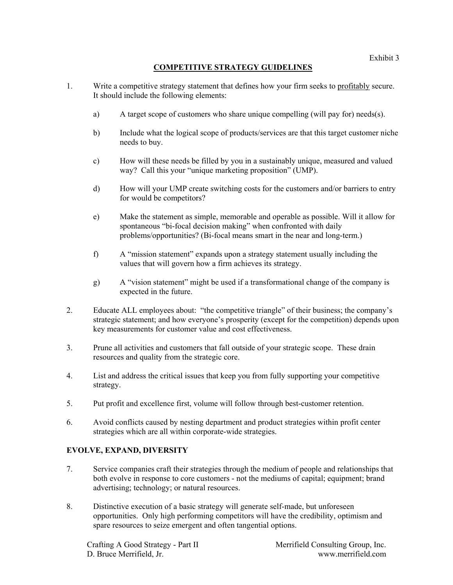# **COMPETITIVE STRATEGY GUIDELINES**

- 1. Write a competitive strategy statement that defines how your firm seeks to profitably secure. It should include the following elements:
	- a) A target scope of customers who share unique compelling (will pay for) needs(s).
	- b) Include what the logical scope of products/services are that this target customer niche needs to buy.
	- c) How will these needs be filled by you in a sustainably unique, measured and valued way? Call this your "unique marketing proposition" (UMP).
	- d) How will your UMP create switching costs for the customers and/or barriers to entry for would be competitors?
	- e) Make the statement as simple, memorable and operable as possible. Will it allow for spontaneous "bi-focal decision making" when confronted with daily problems/opportunities? (Bi-focal means smart in the near and long-term.)
	- f) A "mission statement" expands upon a strategy statement usually including the values that will govern how a firm achieves its strategy.
	- g) A "vision statement" might be used if a transformational change of the company is expected in the future.
- 2. Educate ALL employees about: "the competitive triangle" of their business; the company's strategic statement; and how everyone's prosperity (except for the competition) depends upon key measurements for customer value and cost effectiveness.
- 3. Prune all activities and customers that fall outside of your strategic scope. These drain resources and quality from the strategic core.
- 4. List and address the critical issues that keep you from fully supporting your competitive strategy.
- 5. Put profit and excellence first, volume will follow through best-customer retention.
- 6. Avoid conflicts caused by nesting department and product strategies within profit center strategies which are all within corporate-wide strategies.

## **EVOLVE, EXPAND, DIVERSITY**

- 7. Service companies craft their strategies through the medium of people and relationships that both evolve in response to core customers - not the mediums of capital; equipment; brand advertising; technology; or natural resources.
- 8. Distinctive execution of a basic strategy will generate self-made, but unforeseen opportunities. Only high performing competitors will have the credibility, optimism and spare resources to seize emergent and often tangential options.

Crafting A Good Strategy - Part II Merrifield Consulting Group, Inc. D. Bruce Merrifield, Jr. www.merrifield.com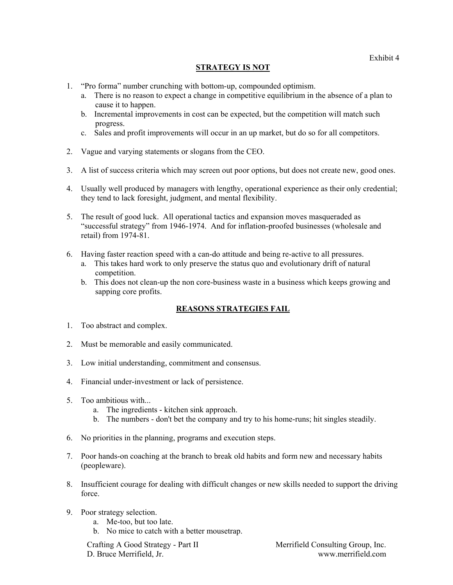## **STRATEGY IS NOT**

- 1. "Pro forma" number crunching with bottom-up, compounded optimism.
	- a. There is no reason to expect a change in competitive equilibrium in the absence of a plan to cause it to happen.
	- b. Incremental improvements in cost can be expected, but the competition will match such progress.
	- c. Sales and profit improvements will occur in an up market, but do so for all competitors.
- 2. Vague and varying statements or slogans from the CEO.
- 3. A list of success criteria which may screen out poor options, but does not create new, good ones.
- 4. Usually well produced by managers with lengthy, operational experience as their only credential; they tend to lack foresight, judgment, and mental flexibility.
- 5. The result of good luck. All operational tactics and expansion moves masqueraded as "successful strategy" from 1946-1974. And for inflation-proofed businesses (wholesale and retail) from 1974-81.
- 6. Having faster reaction speed with a can-do attitude and being re-active to all pressures.
	- a. This takes hard work to only preserve the status quo and evolutionary drift of natural competition.
	- b. This does not clean-up the non core-business waste in a business which keeps growing and sapping core profits.

## **REASONS STRATEGIES FAIL**

- 1. Too abstract and complex.
- 2. Must be memorable and easily communicated.
- 3. Low initial understanding, commitment and consensus.
- 4. Financial under-investment or lack of persistence.
- 5. Too ambitious with...
	- a. The ingredients kitchen sink approach.
	- b. The numbers don't bet the company and try to his home-runs; hit singles steadily.
- 6. No priorities in the planning, programs and execution steps.
- 7. Poor hands-on coaching at the branch to break old habits and form new and necessary habits (peopleware).
- 8. Insufficient courage for dealing with difficult changes or new skills needed to support the driving force.
- 9. Poor strategy selection.
	- a. Me-too, but too late.
	- b. No mice to catch with a better mousetrap.

Crafting A Good Strategy - Part II Merrifield Consulting Group, Inc. D. Bruce Merrifield, Jr. www.merrifield.com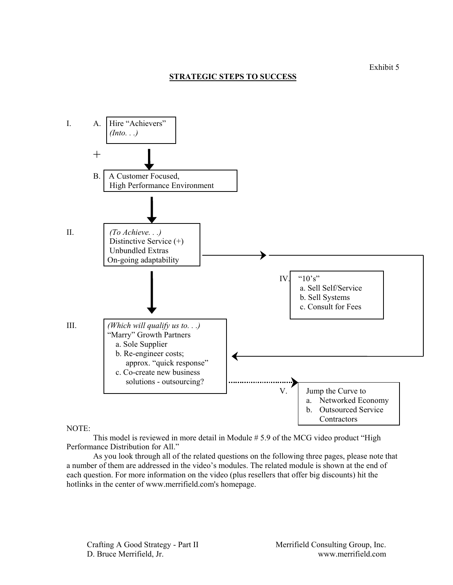## **STRATEGIC STEPS TO SUCCESS**



#### NOTE:

This model is reviewed in more detail in Module # 5.9 of the MCG video product "High Performance Distribution for All."

As you look through all of the related questions on the following three pages, please note that a number of them are addressed in the video's modules. The related module is shown at the end of each question. For more information on the video (plus resellers that offer big discounts) hit the hotlinks in the center of www.merrifield.com's homepage.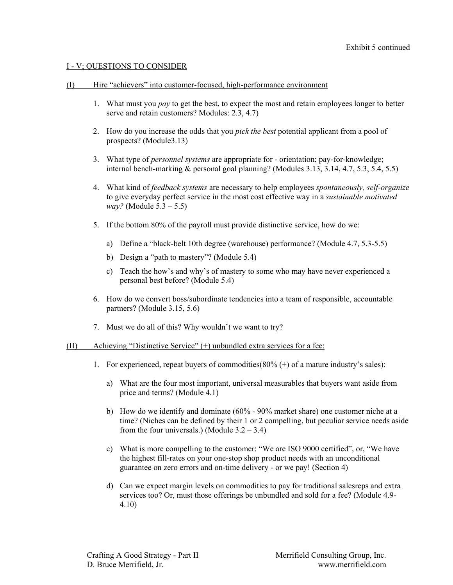### I - V; QUESTIONS TO CONSIDER

#### (I) Hire "achievers" into customer-focused, high-performance environment

- 1. What must you *pay* to get the best, to expect the most and retain employees longer to better serve and retain customers? Modules: 2.3, 4.7)
- 2. How do you increase the odds that you *pick the best* potential applicant from a pool of prospects? (Module3.13)
- 3. What type of *personnel systems* are appropriate for orientation; pay-for-knowledge; internal bench-marking & personal goal planning? (Modules 3.13, 3.14, 4.7, 5.3, 5.4, 5.5)
- 4. What kind of *feedback systems* are necessary to help employees *spontaneously, self-organize* to give everyday perfect service in the most cost effective way in a *sustainable motivated way?* (Module 5.3 – 5.5)
- 5. If the bottom 80% of the payroll must provide distinctive service, how do we:
	- a) Define a "black-belt 10th degree (warehouse) performance? (Module 4.7, 5.3-5.5)
	- b) Design a "path to mastery"? (Module 5.4)
	- c) Teach the how's and why's of mastery to some who may have never experienced a personal best before? (Module 5.4)
- 6. How do we convert boss/subordinate tendencies into a team of responsible, accountable partners? (Module 3.15, 5.6)
- 7. Must we do all of this? Why wouldn't we want to try?

### (II) Achieving "Distinctive Service" (+) unbundled extra services for a fee:

- 1. For experienced, repeat buyers of commodities( $80\%$  (+) of a mature industry's sales):
	- a) What are the four most important, universal measurables that buyers want aside from price and terms? (Module 4.1)
	- b) How do we identify and dominate (60% 90% market share) one customer niche at a time? (Niches can be defined by their 1 or 2 compelling, but peculiar service needs aside from the four universals.) (Module  $3.2 - 3.4$ )
	- c) What is more compelling to the customer: "We are ISO 9000 certified", or, "We have the highest fill-rates on your one-stop shop product needs with an unconditional guarantee on zero errors and on-time delivery - or we pay! (Section 4)
	- d) Can we expect margin levels on commodities to pay for traditional salesreps and extra services too? Or, must those offerings be unbundled and sold for a fee? (Module 4.9- 4.10)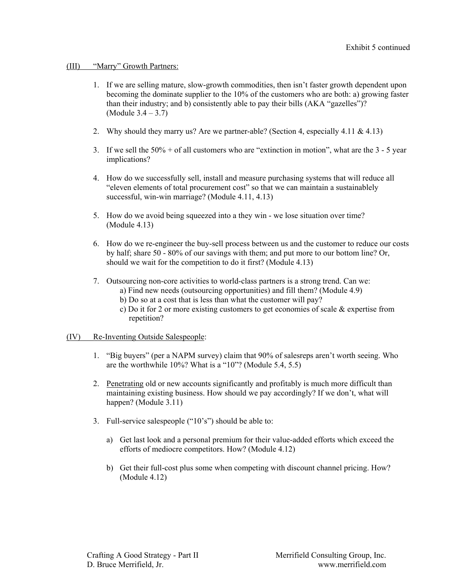### (III) "Marry" Growth Partners:

- 1. If we are selling mature, slow-growth commodities, then isn't faster growth dependent upon becoming the dominate supplier to the 10% of the customers who are both: a) growing faster than their industry; and b) consistently able to pay their bills (AKA "gazelles")? (Module 3.4 – 3.7)
- 2. Why should they marry us? Are we partner-able? (Section 4, especially 4.11 & 4.13)
- 3. If we sell the  $50\%$  + of all customers who are "extinction in motion", what are the  $3 5$  year implications?
- 4. How do we successfully sell, install and measure purchasing systems that will reduce all "eleven elements of total procurement cost" so that we can maintain a sustainablely successful, win-win marriage? (Module 4.11, 4.13)
- 5. How do we avoid being squeezed into a they win we lose situation over time? (Module 4.13)
- 6. How do we re-engineer the buy-sell process between us and the customer to reduce our costs by half; share 50 - 80% of our savings with them; and put more to our bottom line? Or, should we wait for the competition to do it first? (Module 4.13)
- 7. Outsourcing non-core activities to world-class partners is a strong trend. Can we:
	- a) Find new needs (outsourcing opportunities) and fill them? (Module 4.9)
	- b) Do so at a cost that is less than what the customer will pay?
	- c) Do it for 2 or more existing customers to get economies of scale & expertise from repetition?

### (IV) Re-Inventing Outside Salespeople:

- 1. "Big buyers" (per a NAPM survey) claim that 90% of salesreps aren't worth seeing. Who are the worthwhile 10%? What is a "10"? (Module 5.4, 5.5)
- 2. Penetrating old or new accounts significantly and profitably is much more difficult than maintaining existing business. How should we pay accordingly? If we don't, what will happen? (Module 3.11)
- 3. Full-service salespeople ("10's") should be able to:
	- a) Get last look and a personal premium for their value-added efforts which exceed the efforts of mediocre competitors. How? (Module 4.12)
	- b) Get their full-cost plus some when competing with discount channel pricing. How? (Module 4.12)